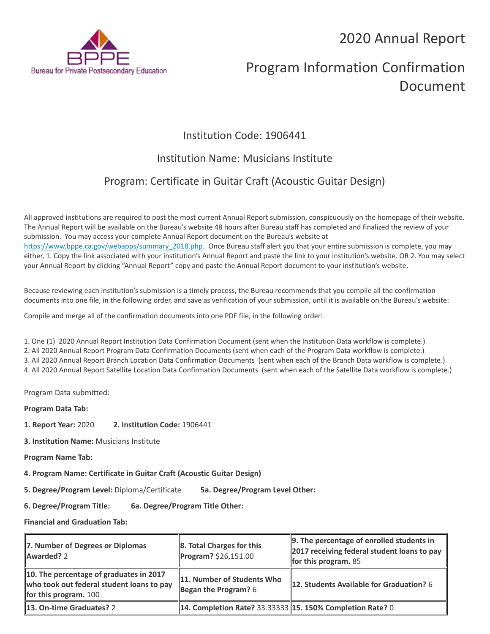## 2020 Annual Report



# Program Information Confirmation Document

## Institution Code: 1906441

### Institution Name: Musicians Institute

## Program: Certificate in Guitar Craft (Acoustic Guitar Design)

All approved institutions are required to post the most current Annual Report submission, conspicuously on the homepage of their website. The Annual Report will be available on the Bureau's website 48 hours after Bureau staff has completed and finalized the review of your submission. You may access your complete Annual Report document on the Bureau's website at [https://www.bppe.ca.gov/webapps/summary\\_2018.php.](https://www.bppe.ca.gov/webapps/summary_2018.php) Once Bureau staff alert you that your entire submission is complete, you may either, 1. Copy the link associated with your institution's Annual Report and paste the link to your institution's website. OR 2. You may select your Annual Report by clicking "Annual Report" copy and paste the Annual Report document to your institution's website.

Because reviewing each institution's submission is a timely process, the Bureau recommends that you compile all the confirmation documents into one file, in the following order, and save as verification of your submission, until it is available on the Bureau's website:

Compile and merge all of the confirmation documents into one PDF file, in the following order:

1. One (1) 2020 Annual Report Institution Data Confirmation Document (sent when the Institution Data workflow is complete.) 2. All 2020 Annual Report Program Data Confirmation Documents (sent when each of the Program Data workflow is complete.) 3. All 2020 Annual Report Branch Location Data Confirmation Documents (sent when each of the Branch Data workflow is complete.) 4. All 2020 Annual Report Satellite Location Data Confirmation Documents (sent when each of the Satellite Data workflow is complete.)

Program Data submitted:

**Program Data Tab:**

- **1. Report Year:** 2020 **2. Institution Code:** 1906441
- **3. Institution Name:** Musicians Institute
- **Program Name Tab:**
- **4. Program Name: Certificate in Guitar Craft (Acoustic Guitar Design)**

**5. Degree/Program Level:** Diploma/Certificate **5a. Degree/Program Level Other:**

**6. Degree/Program Title: 6a. Degree/Program Title Other:**

**Financial and Graduation Tab:**

| 7. Number of Degrees or Diplomas<br>Awarded? 2                                                                  | $\ 8.$ Total Charges for this<br>Program? \$26,151.00      | 9. The percentage of enrolled students in<br>2017 receiving federal student loans to pay<br>for this program. $85$ |
|-----------------------------------------------------------------------------------------------------------------|------------------------------------------------------------|--------------------------------------------------------------------------------------------------------------------|
| 10. The percentage of graduates in 2017<br>who took out federal student loans to pay<br>for this program. $100$ | 11. Number of Students Who<br>Began the Program? $6$       | 12. Students Available for Graduation? 6                                                                           |
| 13. On-time Graduates? 2                                                                                        | 14. Completion Rate? 33.33333  15. 150% Completion Rate? 0 |                                                                                                                    |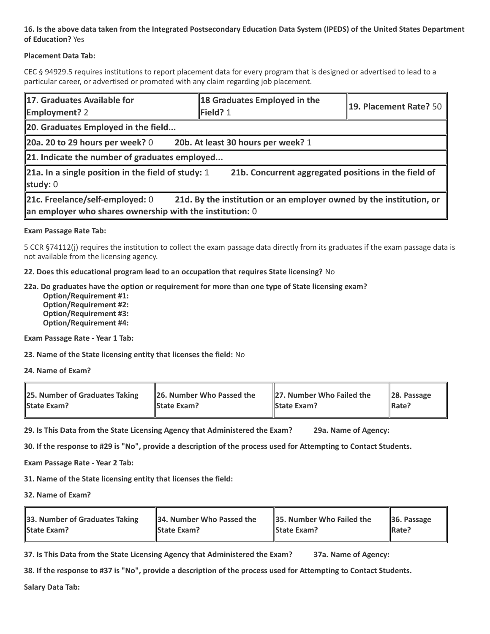#### **16. Is the above data taken from the Integrated Postsecondary Education Data System (IPEDS) of the United States Department of Education?** Yes

#### **Placement Data Tab:**

CEC § 94929.5 requires institutions to report placement data for every program that is designed or advertised to lead to a particular career, or advertised or promoted with any claim regarding job placement.

| 17. Graduates Available for<br><b>Employment? 2</b>                                                                                                                     | 18 Graduates Employed in the<br>$\blacktriangleright$ Field? 1 | 19. Placement Rate? 50 |  |  |  |
|-------------------------------------------------------------------------------------------------------------------------------------------------------------------------|----------------------------------------------------------------|------------------------|--|--|--|
| 20. Graduates Employed in the field                                                                                                                                     |                                                                |                        |  |  |  |
| 20b. At least 30 hours per week? 1<br>20a. 20 to 29 hours per week? $0$                                                                                                 |                                                                |                        |  |  |  |
| $\ $ 21. Indicate the number of graduates employed                                                                                                                      |                                                                |                        |  |  |  |
| 21a. In a single position in the field of study: 1<br>21b. Concurrent aggregated positions in the field of<br>study: $0$                                                |                                                                |                        |  |  |  |
| 21d. By the institution or an employer owned by the institution, or<br>21c. Freelance/self-employed: 0<br>$\ $ an employer who shares ownership with the institution: 0 |                                                                |                        |  |  |  |

#### **Exam Passage Rate Tab:**

5 CCR §74112(j) requires the institution to collect the exam passage data directly from its graduates if the exam passage data is not available from the licensing agency.

**22. Does this educational program lead to an occupation that requires State licensing?** No

#### **22a. Do graduates have the option or requirement for more than one type of State licensing exam?**

 **Option/Requirement #1: Option/Requirement #2: Option/Requirement #3: Option/Requirement #4:**

**Exam Passage Rate - Year 1 Tab:**

**23. Name of the State licensing entity that licenses the field:** No

**24. Name of Exam?**

| 25. Number of Graduates Taking | 26. Number Who Passed the | 27. Number Who Failed the | $\ 28.$ Passage |
|--------------------------------|---------------------------|---------------------------|-----------------|
| <b>State Exam?</b>             | <b>State Exam?</b>        | <b>State Exam?</b>        | Rate?           |

**29. Is This Data from the State Licensing Agency that Administered the Exam? 29a. Name of Agency:**

**30. If the response to #29 is "No", provide a description of the process used for Attempting to Contact Students.**

**Exam Passage Rate - Year 2 Tab:**

**31. Name of the State licensing entity that licenses the field:**

**32. Name of Exam?**

| 33. Number of Graduates Taking | 34. Number Who Passed the | <b>35. Number Who Failed the</b> | $\parallel$ 36. Passage |
|--------------------------------|---------------------------|----------------------------------|-------------------------|
| <b>State Exam?</b>             | <b>State Exam?</b>        | <b>State Exam?</b>               | $\parallel$ Rate?       |

**37. Is This Data from the State Licensing Agency that Administered the Exam? 37a. Name of Agency:**

**38. If the response to #37 is "No", provide a description of the process used for Attempting to Contact Students.** 

**Salary Data Tab:**